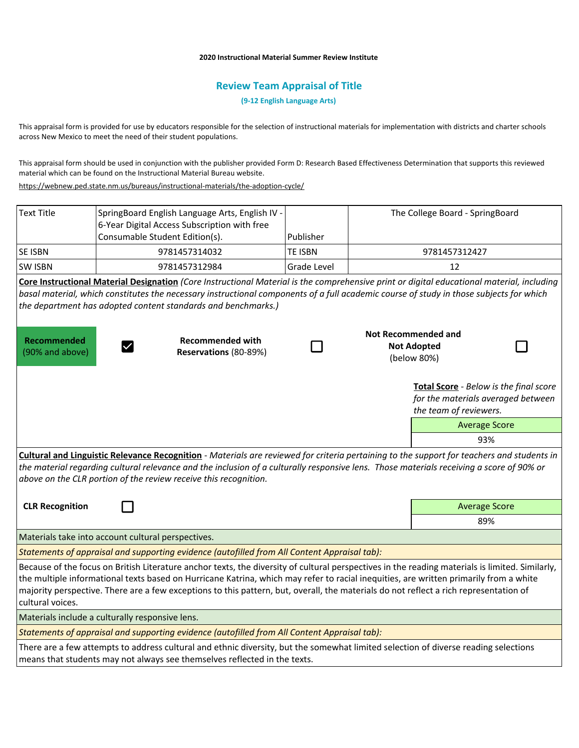## **2020 Instructional Material Summer Review Institute**

## **Review Team Appraisal of Title**

**(9-12 English Language Arts)**

This appraisal form is provided for use by educators responsible for the selection of instructional materials for implementation with districts and charter schools across New Mexico to meet the need of their student populations.

This appraisal form should be used in conjunction with the publisher provided Form D: Research Based Effectiveness Determination that supports this reviewed material which can be found on the Instructional Material Bureau website.

<https://webnew.ped.state.nm.us/bureaus/instructional-materials/the-adoption-cycle/>

| <b>Text Title</b>                     | SpringBoard English Language Arts, English IV -<br>6-Year Digital Access Subscription with free<br>Consumable Student Edition(s).                                                                                                                                                                                                                                                                                                 | Publisher      | The College Board - SpringBoard                                                                        |  |
|---------------------------------------|-----------------------------------------------------------------------------------------------------------------------------------------------------------------------------------------------------------------------------------------------------------------------------------------------------------------------------------------------------------------------------------------------------------------------------------|----------------|--------------------------------------------------------------------------------------------------------|--|
| SE ISBN                               | 9781457314032                                                                                                                                                                                                                                                                                                                                                                                                                     | <b>TE ISBN</b> | 9781457312427                                                                                          |  |
| <b>SW ISBN</b>                        | 9781457312984                                                                                                                                                                                                                                                                                                                                                                                                                     | Grade Level    | 12                                                                                                     |  |
|                                       | Core Instructional Material Designation (Core Instructional Material is the comprehensive print or digital educational material, including<br>basal material, which constitutes the necessary instructional components of a full academic course of study in those subjects for which<br>the department has adopted content standards and benchmarks.)                                                                            |                |                                                                                                        |  |
| <b>Recommended</b><br>(90% and above) | <b>Recommended with</b><br>Reservations (80-89%)                                                                                                                                                                                                                                                                                                                                                                                  |                | <b>Not Recommended and</b><br><b>Not Adopted</b><br>(below 80%)                                        |  |
|                                       |                                                                                                                                                                                                                                                                                                                                                                                                                                   |                | Total Score - Below is the final score<br>for the materials averaged between<br>the team of reviewers. |  |
|                                       |                                                                                                                                                                                                                                                                                                                                                                                                                                   |                | <b>Average Score</b>                                                                                   |  |
|                                       |                                                                                                                                                                                                                                                                                                                                                                                                                                   |                | 93%                                                                                                    |  |
|                                       | Cultural and Linguistic Relevance Recognition - Materials are reviewed for criteria pertaining to the support for teachers and students in<br>the material regarding cultural relevance and the inclusion of a culturally responsive lens. Those materials receiving a score of 90% or<br>above on the CLR portion of the review receive this recognition.                                                                        |                |                                                                                                        |  |
| <b>CLR Recognition</b>                |                                                                                                                                                                                                                                                                                                                                                                                                                                   |                | <b>Average Score</b>                                                                                   |  |
|                                       |                                                                                                                                                                                                                                                                                                                                                                                                                                   |                | 89%                                                                                                    |  |
|                                       | Materials take into account cultural perspectives.                                                                                                                                                                                                                                                                                                                                                                                |                |                                                                                                        |  |
|                                       | Statements of appraisal and supporting evidence (autofilled from All Content Appraisal tab):                                                                                                                                                                                                                                                                                                                                      |                |                                                                                                        |  |
| cultural voices.                      | Because of the focus on British Literature anchor texts, the diversity of cultural perspectives in the reading materials is limited. Similarly,<br>the multiple informational texts based on Hurricane Katrina, which may refer to racial inequities, are written primarily from a white<br>majority perspective. There are a few exceptions to this pattern, but, overall, the materials do not reflect a rich representation of |                |                                                                                                        |  |
|                                       | Materials include a culturally responsive lens.                                                                                                                                                                                                                                                                                                                                                                                   |                |                                                                                                        |  |
|                                       | Statements of appraisal and supporting evidence (autofilled from All Content Appraisal tab):                                                                                                                                                                                                                                                                                                                                      |                |                                                                                                        |  |
|                                       | There are a few attempts to address cultural and ethnic diversity, but the somewhat limited selection of diverse reading selections<br>means that students may not always see themselves reflected in the texts.                                                                                                                                                                                                                  |                |                                                                                                        |  |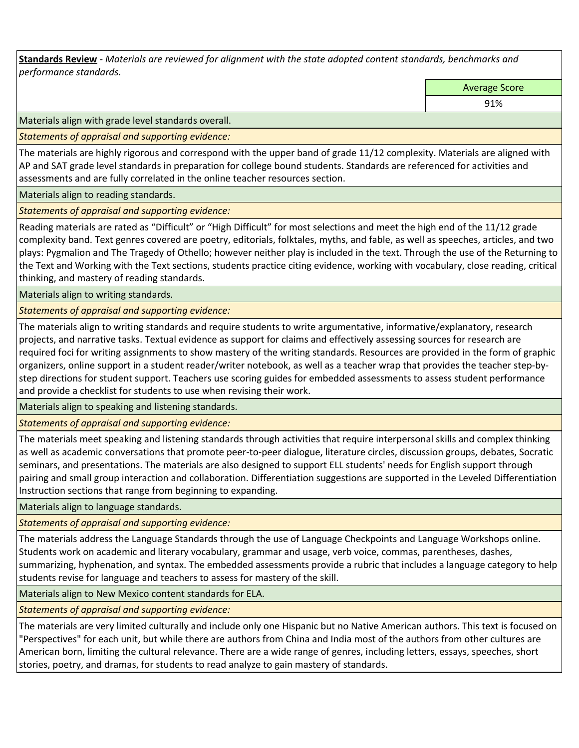**Standards Review** *- Materials are reviewed for alignment with the state adopted content standards, benchmarks and performance standards.*

Average Score

91%

Materials align with grade level standards overall.

*Statements of appraisal and supporting evidence:* 

The materials are highly rigorous and correspond with the upper band of grade 11/12 complexity. Materials are aligned with AP and SAT grade level standards in preparation for college bound students. Standards are referenced for activities and assessments and are fully correlated in the online teacher resources section.

Materials align to reading standards.

*Statements of appraisal and supporting evidence:* 

Reading materials are rated as "Difficult" or "High Difficult" for most selections and meet the high end of the 11/12 grade complexity band. Text genres covered are poetry, editorials, folktales, myths, and fable, as well as speeches, articles, and two plays: Pygmalion and The Tragedy of Othello; however neither play is included in the text. Through the use of the Returning to the Text and Working with the Text sections, students practice citing evidence, working with vocabulary, close reading, critical thinking, and mastery of reading standards.

Materials align to writing standards.

*Statements of appraisal and supporting evidence:* 

The materials align to writing standards and require students to write argumentative, informative/explanatory, research projects, and narrative tasks. Textual evidence as support for claims and effectively assessing sources for research are required foci for writing assignments to show mastery of the writing standards. Resources are provided in the form of graphic organizers, online support in a student reader/writer notebook, as well as a teacher wrap that provides the teacher step-bystep directions for student support. Teachers use scoring guides for embedded assessments to assess student performance and provide a checklist for students to use when revising their work.

Materials align to speaking and listening standards.

*Statements of appraisal and supporting evidence:* 

The materials meet speaking and listening standards through activities that require interpersonal skills and complex thinking as well as academic conversations that promote peer-to-peer dialogue, literature circles, discussion groups, debates, Socratic seminars, and presentations. The materials are also designed to support ELL students' needs for English support through pairing and small group interaction and collaboration. Differentiation suggestions are supported in the Leveled Differentiation Instruction sections that range from beginning to expanding.

Materials align to language standards.

*Statements of appraisal and supporting evidence:* 

The materials address the Language Standards through the use of Language Checkpoints and Language Workshops online. Students work on academic and literary vocabulary, grammar and usage, verb voice, commas, parentheses, dashes, summarizing, hyphenation, and syntax. The embedded assessments provide a rubric that includes a language category to help students revise for language and teachers to assess for mastery of the skill.

Materials align to New Mexico content standards for ELA.

*Statements of appraisal and supporting evidence:* 

The materials are very limited culturally and include only one Hispanic but no Native American authors. This text is focused on "Perspectives" for each unit, but while there are authors from China and India most of the authors from other cultures are American born, limiting the cultural relevance. There are a wide range of genres, including letters, essays, speeches, short stories, poetry, and dramas, for students to read analyze to gain mastery of standards.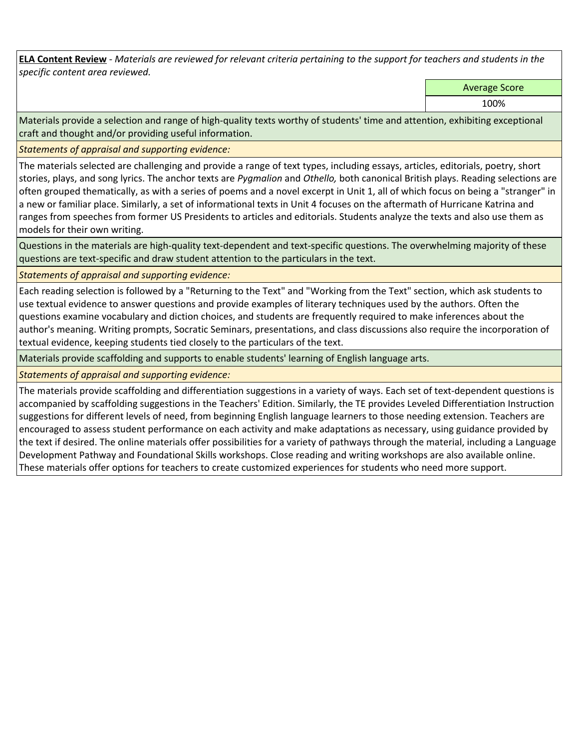**ELA Content Review** *- Materials are reviewed for relevant criteria pertaining to the support for teachers and students in the specific content area reviewed.*

Average Score

100%

Materials provide a selection and range of high-quality texts worthy of students' time and attention, exhibiting exceptional craft and thought and/or providing useful information.

*Statements of appraisal and supporting evidence:* 

The materials selected are challenging and provide a range of text types, including essays, articles, editorials, poetry, short stories, plays, and song lyrics. The anchor texts are *Pygmalion* and *Othello,* both canonical British plays. Reading selections are often grouped thematically, as with a series of poems and a novel excerpt in Unit 1, all of which focus on being a "stranger" in a new or familiar place. Similarly, a set of informational texts in Unit 4 focuses on the aftermath of Hurricane Katrina and ranges from speeches from former US Presidents to articles and editorials. Students analyze the texts and also use them as models for their own writing.

Questions in the materials are high-quality text-dependent and text-specific questions. The overwhelming majority of these questions are text-specific and draw student attention to the particulars in the text.

*Statements of appraisal and supporting evidence:* 

Each reading selection is followed by a "Returning to the Text" and "Working from the Text" section, which ask students to use textual evidence to answer questions and provide examples of literary techniques used by the authors. Often the questions examine vocabulary and diction choices, and students are frequently required to make inferences about the author's meaning. Writing prompts, Socratic Seminars, presentations, and class discussions also require the incorporation of textual evidence, keeping students tied closely to the particulars of the text.

Materials provide scaffolding and supports to enable students' learning of English language arts.

*Statements of appraisal and supporting evidence:* 

The materials provide scaffolding and differentiation suggestions in a variety of ways. Each set of text-dependent questions is accompanied by scaffolding suggestions in the Teachers' Edition. Similarly, the TE provides Leveled Differentiation Instruction suggestions for different levels of need, from beginning English language learners to those needing extension. Teachers are encouraged to assess student performance on each activity and make adaptations as necessary, using guidance provided by the text if desired. The online materials offer possibilities for a variety of pathways through the material, including a Language Development Pathway and Foundational Skills workshops. Close reading and writing workshops are also available online. These materials offer options for teachers to create customized experiences for students who need more support.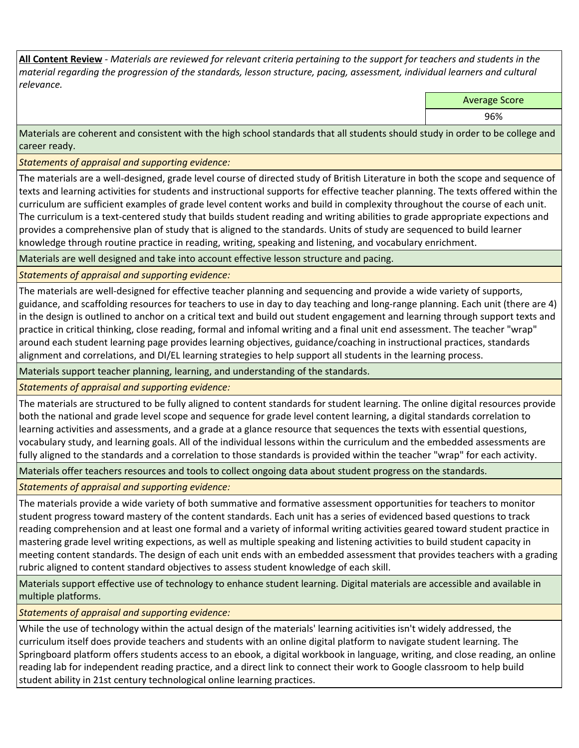**All Content Review** *- Materials are reviewed for relevant criteria pertaining to the support for teachers and students in the material regarding the progression of the standards, lesson structure, pacing, assessment, individual learners and cultural relevance.*

Average Score

96%

Materials are coherent and consistent with the high school standards that all students should study in order to be college and career ready.

*Statements of appraisal and supporting evidence:*

The materials are a well-designed, grade level course of directed study of British Literature in both the scope and sequence of texts and learning activities for students and instructional supports for effective teacher planning. The texts offered within the curriculum are sufficient examples of grade level content works and build in complexity throughout the course of each unit. The curriculum is a text-centered study that builds student reading and writing abilities to grade appropriate expections and provides a comprehensive plan of study that is aligned to the standards. Units of study are sequenced to build learner knowledge through routine practice in reading, writing, speaking and listening, and vocabulary enrichment.

Materials are well designed and take into account effective lesson structure and pacing.

*Statements of appraisal and supporting evidence:*

The materials are well-designed for effective teacher planning and sequencing and provide a wide variety of supports, guidance, and scaffolding resources for teachers to use in day to day teaching and long-range planning. Each unit (there are 4) in the design is outlined to anchor on a critical text and build out student engagement and learning through support texts and practice in critical thinking, close reading, formal and infomal writing and a final unit end assessment. The teacher "wrap" around each student learning page provides learning objectives, guidance/coaching in instructional practices, standards alignment and correlations, and DI/EL learning strategies to help support all students in the learning process.

Materials support teacher planning, learning, and understanding of the standards.

*Statements of appraisal and supporting evidence:*

The materials are structured to be fully aligned to content standards for student learning. The online digital resources provide both the national and grade level scope and sequence for grade level content learning, a digital standards correlation to learning activities and assessments, and a grade at a glance resource that sequences the texts with essential questions, vocabulary study, and learning goals. All of the individual lessons within the curriculum and the embedded assessments are fully aligned to the standards and a correlation to those standards is provided within the teacher "wrap" for each activity.

Materials offer teachers resources and tools to collect ongoing data about student progress on the standards.

*Statements of appraisal and supporting evidence:*

The materials provide a wide variety of both summative and formative assessment opportunities for teachers to monitor student progress toward mastery of the content standards. Each unit has a series of evidenced based questions to track reading comprehension and at least one formal and a variety of informal writing activities geared toward student practice in mastering grade level writing expections, as well as multiple speaking and listening activities to build student capacity in meeting content standards. The design of each unit ends with an embedded assessment that provides teachers with a grading rubric aligned to content standard objectives to assess student knowledge of each skill.

Materials support effective use of technology to enhance student learning. Digital materials are accessible and available in multiple platforms.

*Statements of appraisal and supporting evidence:*

While the use of technology within the actual design of the materials' learning acitivities isn't widely addressed, the curriculum itself does provide teachers and students with an online digital platform to navigate student learning. The Springboard platform offers students access to an ebook, a digital workbook in language, writing, and close reading, an online reading lab for independent reading practice, and a direct link to connect their work to Google classroom to help build student ability in 21st century technological online learning practices.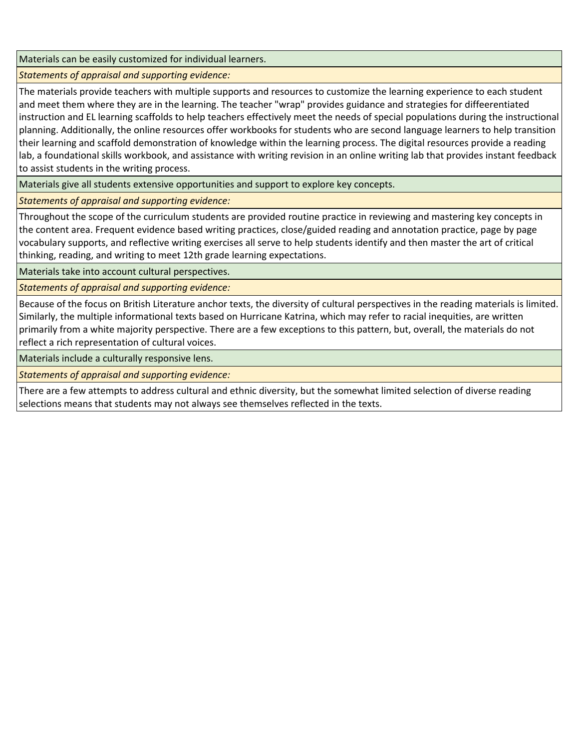Materials can be easily customized for individual learners.

*Statements of appraisal and supporting evidence:* 

The materials provide teachers with multiple supports and resources to customize the learning experience to each student and meet them where they are in the learning. The teacher "wrap" provides guidance and strategies for diffeerentiated instruction and EL learning scaffolds to help teachers effectively meet the needs of special populations during the instructional planning. Additionally, the online resources offer workbooks for students who are second language learners to help transition their learning and scaffold demonstration of knowledge within the learning process. The digital resources provide a reading lab, a foundational skills workbook, and assistance with writing revision in an online writing lab that provides instant feedback to assist students in the writing process.

Materials give all students extensive opportunities and support to explore key concepts.

*Statements of appraisal and supporting evidence:*

Throughout the scope of the curriculum students are provided routine practice in reviewing and mastering key concepts in the content area. Frequent evidence based writing practices, close/guided reading and annotation practice, page by page vocabulary supports, and reflective writing exercises all serve to help students identify and then master the art of critical thinking, reading, and writing to meet 12th grade learning expectations.

Materials take into account cultural perspectives.

*Statements of appraisal and supporting evidence:*

Because of the focus on British Literature anchor texts, the diversity of cultural perspectives in the reading materials is limited. Similarly, the multiple informational texts based on Hurricane Katrina, which may refer to racial inequities, are written primarily from a white majority perspective. There are a few exceptions to this pattern, but, overall, the materials do not reflect a rich representation of cultural voices.

Materials include a culturally responsive lens.

*Statements of appraisal and supporting evidence:*

There are a few attempts to address cultural and ethnic diversity, but the somewhat limited selection of diverse reading selections means that students may not always see themselves reflected in the texts.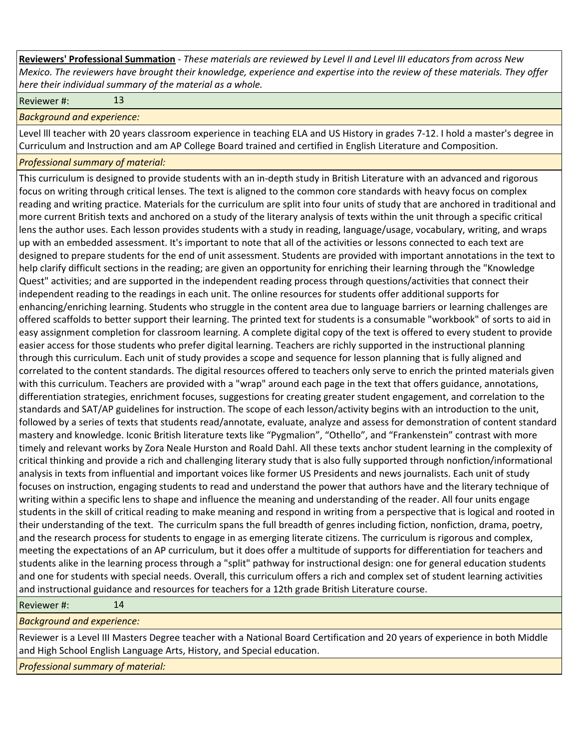**Reviewers' Professional Summation** *- These materials are reviewed by Level II and Level III educators from across New Mexico. The reviewers have brought their knowledge, experience and expertise into the review of these materials. They offer here their individual summary of the material as a whole.*

Reviewer #: 13

*Background and experience:*

Level lll teacher with 20 years classroom experience in teaching ELA and US History in grades 7-12. I hold a master's degree in Curriculum and Instruction and am AP College Board trained and certified in English Literature and Composition.

*Professional summary of material:*

This curriculum is designed to provide students with an in-depth study in British Literature with an advanced and rigorous focus on writing through critical lenses. The text is aligned to the common core standards with heavy focus on complex reading and writing practice. Materials for the curriculum are split into four units of study that are anchored in traditional and more current British texts and anchored on a study of the literary analysis of texts within the unit through a specific critical lens the author uses. Each lesson provides students with a study in reading, language/usage, vocabulary, writing, and wraps up with an embedded assessment. It's important to note that all of the activities or lessons connected to each text are designed to prepare students for the end of unit assessment. Students are provided with important annotations in the text to help clarify difficult sections in the reading; are given an opportunity for enriching their learning through the "Knowledge Quest" activities; and are supported in the independent reading process through questions/activities that connect their independent reading to the readings in each unit. The online resources for students offer additional supports for enhancing/enriching learning. Students who struggle in the content area due to language barriers or learning challenges are offered scaffolds to better support their learning. The printed text for students is a consumable "workbook" of sorts to aid in easy assignment completion for classroom learning. A complete digital copy of the text is offered to every student to provide easier access for those students who prefer digital learning. Teachers are richly supported in the instructional planning through this curriculum. Each unit of study provides a scope and sequence for lesson planning that is fully aligned and correlated to the content standards. The digital resources offered to teachers only serve to enrich the printed materials given with this curriculum. Teachers are provided with a "wrap" around each page in the text that offers guidance, annotations, differentiation strategies, enrichment focuses, suggestions for creating greater student engagement, and correlation to the standards and SAT/AP guidelines for instruction. The scope of each lesson/activity begins with an introduction to the unit, followed by a series of texts that students read/annotate, evaluate, analyze and assess for demonstration of content standard mastery and knowledge. Iconic British literature texts like "Pygmalion", "Othello", and "Frankenstein" contrast with more timely and relevant works by Zora Neale Hurston and Roald Dahl. All these texts anchor student learning in the complexity of critical thinking and provide a rich and challenging literary study that is also fully supported through nonfiction/informational analysis in texts from influential and important voices like former US Presidents and news journalists. Each unit of study focuses on instruction, engaging students to read and understand the power that authors have and the literary technique of writing within a specific lens to shape and influence the meaning and understanding of the reader. All four units engage students in the skill of critical reading to make meaning and respond in writing from a perspective that is logical and rooted in their understanding of the text. The curriculm spans the full breadth of genres including fiction, nonfiction, drama, poetry, and the research process for students to engage in as emerging literate citizens. The curriculum is rigorous and complex, meeting the expectations of an AP curriculum, but it does offer a multitude of supports for differentiation for teachers and students alike in the learning process through a "split" pathway for instructional design: one for general education students and one for students with special needs. Overall, this curriculum offers a rich and complex set of student learning activities and instructional guidance and resources for teachers for a 12th grade British Literature course.

| Reviewer#: |  |  | 14 |
|------------|--|--|----|
|------------|--|--|----|

*Background and experience:*

Reviewer is a Level III Masters Degree teacher with a National Board Certification and 20 years of experience in both Middle and High School English Language Arts, History, and Special education.

*Professional summary of material:*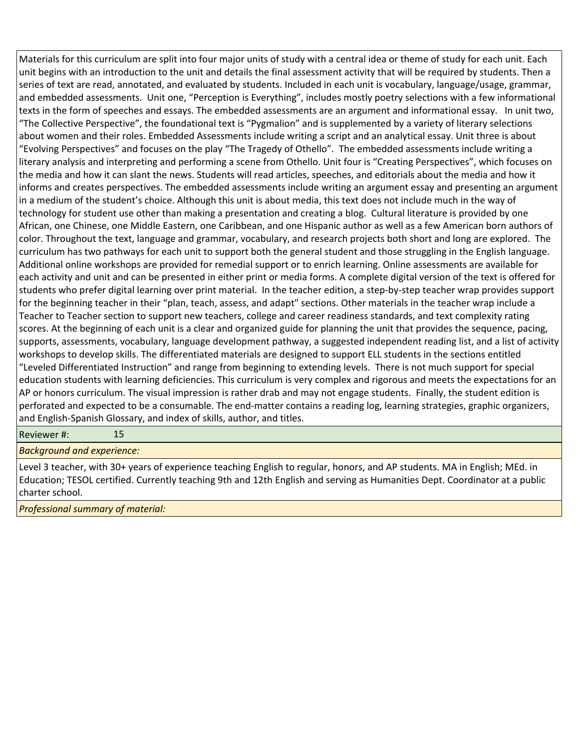Materials for this curriculum are split into four major units of study with a central idea or theme of study for each unit. Each unit begins with an introduction to the unit and details the final assessment activity that will be required by students. Then a series of text are read, annotated, and evaluated by students. Included in each unit is vocabulary, language/usage, grammar, and embedded assessments. Unit one, "Perception is Everything", includes mostly poetry selections with a few informational texts in the form of speeches and essays. The embedded assessments are an argument and informational essay. In unit two, "The Collective Perspective", the foundational text is "Pygmalion" and is supplemented by a variety of literary selections about women and their roles. Embedded Assessments include writing a script and an analytical essay. Unit three is about "Evolving Perspectives" and focuses on the play "The Tragedy of Othello". The embedded assessments include writing a literary analysis and interpreting and performing a scene from Othello. Unit four is "Creating Perspectives", which focuses on the media and how it can slant the news. Students will read articles, speeches, and editorials about the media and how it informs and creates perspectives. The embedded assessments include writing an argument essay and presenting an argument in a medium of the student's choice. Although this unit is about media, this text does not include much in the way of technology for student use other than making a presentation and creating a blog. Cultural literature is provided by one African, one Chinese, one Middle Eastern, one Caribbean, and one Hispanic author as well as a few American born authors of color. Throughout the text, language and grammar, vocabulary, and research projects both short and long are explored. The curriculum has two pathways for each unit to support both the general student and those struggling in the English language. Additional online workshops are provided for remedial support or to enrich learning. Online assessments are available for each activity and unit and can be presented in either print or media forms. A complete digital version of the text is offered for students who prefer digital learning over print material. In the teacher edition, a step-by-step teacher wrap provides support for the beginning teacher in their "plan, teach, assess, and adapt" sections. Other materials in the teacher wrap include a Teacher to Teacher section to support new teachers, college and career readiness standards, and text complexity rating scores. At the beginning of each unit is a clear and organized guide for planning the unit that provides the sequence, pacing, supports, assessments, vocabulary, language development pathway, a suggested independent reading list, and a list of activity workshops to develop skills. The differentiated materials are designed to support ELL students in the sections entitled "Leveled Differentiated Instruction" and range from beginning to extending levels. There is not much support for special education students with learning deficiencies. This curriculum is very complex and rigorous and meets the expectations for an AP or honors curriculum. The visual impression is rather drab and may not engage students. Finally, the student edition is perforated and expected to be a consumable. The end-matter contains a reading log, learning strategies, graphic organizers, and English-Spanish Glossary, and index of skills, author, and titles.

Reviewer #: 15

*Background and experience:*

Level 3 teacher, with 30+ years of experience teaching English to regular, honors, and AP students. MA in English; MEd. in Education; TESOL certified. Currently teaching 9th and 12th English and serving as Humanities Dept. Coordinator at a public charter school.

*Professional summary of material:*